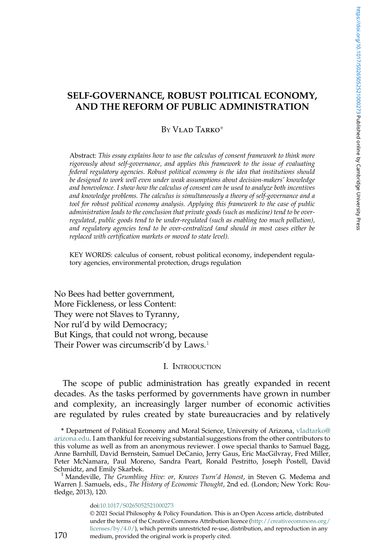# <span id="page-0-0"></span>SELF-GOVERNANCE, ROBUST POLITICAL ECONOMY, AND THE REFORM OF PUBLIC ADMINISTRATION

### $By V<sub>L</sub>$ ad Tarko\*

Abstract: This essay explains how to use the calculus of consent framework to think more rigorously about self-governance, and applies this framework to the issue of evaluating federal regulatory agencies. Robust political economy is the idea that institutions should be designed to work well even under weak assumptions about decision-makers' knowledge and benevolence. I show how the calculus of consent can be used to analyze both incentives and knowledge problems. The calculus is simultaneously a theory of self-governance and a tool for robust political economy analysis. Applying this framework to the case of public administration leads to the conclusion that private goods (such as medicine) tend to be overregulated, public goods tend to be under-regulated (such as enabling too much pollution), and regulatory agencies tend to be over-centralized (and should in most cases either be replaced with certification markets or moved to state level).

KEY WORDS: calculus of consent, robust political economy, independent regulatory agencies, environmental protection, drugs regulation

No Bees had better government, More Fickleness, or less Content: They were not Slaves to Tyranny, Nor rul'd by wild Democracy; But Kings, that could not wrong, because Their Power was circumscrib'd by Laws.<sup>1</sup>

# I. INTRODUCTION

The scope of public administration has greatly expanded in recent decades. As the tasks performed by governments have grown in number and complexity, an increasingly larger number of economic activities are regulated by rules created by state bureaucracies and by relatively

doi[:10.1017/S0265052521000273](https://doi.org/10.1017/S0265052521000273) © 2021 Social Philosophy & Policy Foundation. This is an Open Access article, distributed under the terms of the Creative Commons Attribution licence ([http://creativecommons.org/](http://creativecommons.org/licenses/by/4.0/) [licenses/by/4.0/\)](http://creativecommons.org/licenses/by/4.0/), which permits unrestricted re-use, distribution, and reproduction in any medium, provided the original work is properly cited.

<sup>\*</sup> Department of Political Economy and Moral Science, University of Arizona, [vladtarko@](http://creativecommons.org/licenses/by/4.0/) [arizona.edu.](http://creativecommons.org/licenses/by/4.0/) I am thankful for receiving substantial suggestions from the other contributors to this volume as well as from an anonymous reviewer. I owe special thanks to Samuel Bagg, Anne Barnhill, David Bernstein, Samuel DeCanio, Jerry Gaus, Eric MacGilvray, Fred Miller, Peter McNamara, Paul Moreno, Sandra Peart, Ronald Pestritto, Joseph Postell, David<br>Schmidtz,andEmilySkarbek.

<sup>&</sup>lt;sup>1</sup> Mandeville, *The Grumbling Hive: or, Knaves Turn'd Honest*, in Steven G. Medema and Warren J. Samuels, eds., The History of Economic Thought, 2nd ed. (London; New York: Routledge, 2013), 120.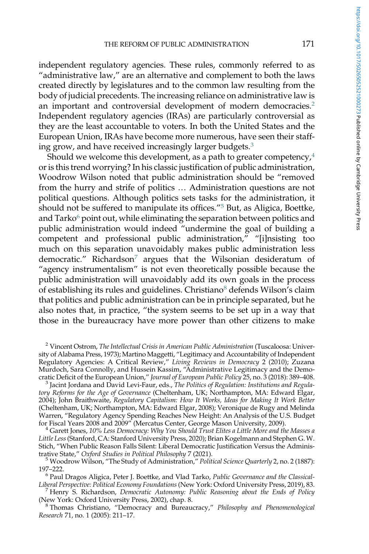independent regulatory agencies. These rules, commonly referred to as "administrative law," are an alternative and complement to both the laws created directly by legislatures and to the common law resulting from the body of judicial precedents. The increasing reliance on administrative law is an important and controversial development of modern democracies.<sup>2</sup> Independent regulatory agencies (IRAs) are particularly controversial as they are the least accountable to voters. In both the United States and the European Union, IRAs have become more numerous, have seen their staffing grow, and have received increasingly larger budgets.<sup>3</sup>

Should we welcome this development, as a path to greater competency, $4\overline{4}$ or is this trend worrying? In his classic justification of public administration, Woodrow Wilson noted that public administration should be "removed from the hurry and strife of politics … Administration questions are not political questions. Although politics sets tasks for the administration, it should not be suffered to manipulate its offices."<sup>5</sup> But, as Aligica, Boettke, and Tarko<sup>6</sup> point out, while eliminating the separation between politics and public administration would indeed "undermine the goal of building a competent and professional public administration," "[i]nsisting too much on this separation unavoidably makes public administration less democratic." Richardson<sup>7</sup> argues that the Wilsonian desideratum of "agency instrumentalism" is not even theoretically possible because the public administration will unavoidably add its own goals in the process of establishing its rules and guidelines. Christiano<sup>8</sup> defends Wilson's claim that politics and public administration can be in principle separated, but he also notes that, in practice, "the system seems to be set up in a way that those in the bureaucracy have more power than other citizens to make

<sup>2</sup> Vincent Ostrom, The Intellectual Crisis in American Public Administration (Tuscaloosa: University of Alabama Press, 1973); Martino Maggetti, "Legitimacy and Accountability of Independent Regulatory Agencies: A Critical Review," Living Reviews in Democracy 2 (2010); Zuzana Murdoch, Sara Connolly, and Hussein Kassim, "Administrative Legitimacy and the Demo-<br>cratic Deficit of the European Union," Journal of European Public Policy 25, no. 3 (2018): 389–408.

 $^3$  Jacint Jordana and David Levi-Faur, eds., The Politics of Regulation: Institutions and Regulatory Reforms for the Age of Governance (Cheltenham, UK; Northampton, MA: Edward Elgar, 2004); John Braithwaite, Regulatory Capitalism: How It Works, Ideas for Making It Work Better (Cheltenham, UK; Northampton, MA: Edward Elgar, 2008); Veronique de Rugy and Melinda Warren, "Regulatory Agency Spending Reaches New Height: An Analysis of the U.S. Budget for Fiscal Years 2008 and 2009" (Mercatus Center, George Mason University, 2009).<br><sup>4</sup> Garett Jones, 10% Less Democracy: Why You Should Trust Elites a Little More and the Masses a

Little Less(Stanford, CA: Stanford University Press, 2020); Brian Kogelmann and Stephen G. W. Stich, "When Public Reason Falls Silent: Liberal Democratic Justification Versus the Adminis-<br>trative State," Oxford Studies in Political Philosophy 7 (2021).

 $t^5$  Woodrow Wilson, "The Study of Administration," Political Science Quarterly 2, no. 2 (1887):<br>197–222.

<sup>6</sup> Paul Dragos Aligica, Peter J. Boettke, and Vlad Tarko, Public Governance and the Classical-<br>Liberal Perspective: Political Economy Foundations (New York: Oxford University Press, 2019), 83.

<sup>7</sup> Henry S. Richardson, *Democratic Autonomy: Public Reasoning about the Ends of Policy* (New York: Oxford University Press, 2002), chap. 8.

<sup>8</sup> Thomas Christiano, "Democracy and Bureaucracy," Philosophy and Phenomenological Research 71, no. 1 (2005): 211–17.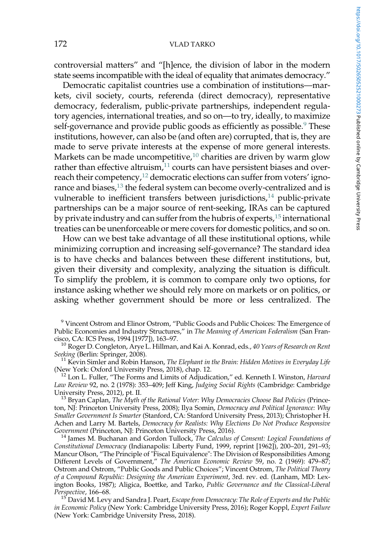controversial matters" and "[h]ence, the division of labor in the modern state seems incompatible with the ideal of equality that animates democracy."

Democratic capitalist countries use a combination of institutions—markets, civil society, courts, referenda (direct democracy), representative democracy, federalism, public-private partnerships, independent regulatory agencies, international treaties, and so on—to try, ideally, to maximize self-governance and provide public goods as efficiently as possible.<sup>9</sup> These institutions, however, can also be (and often are) corrupted, that is, they are made to serve private interests at the expense of more general interests. Markets can be made uncompetitive, $10$  charities are driven by warm glow rather than effective altruism, $11$  courts can have persistent biases and overreach their competency,<sup>12</sup> democratic elections can suffer from voters' ignorance and biases, $^{13}$  the federal system can become overly-centralized and is vulnerable to inefficient transfers between jurisdictions, $14$  public-private partnerships can be a major source of rent-seeking, IRAs can be captured by private industry and can suffer from the hubris of experts, $15$  international treaties can be unenforceable or mere covers for domestic politics, and so on.

How can we best take advantage of all these institutional options, while minimizing corruption and increasing self-governance? The standard idea is to have checks and balances between these different institutions, but, given their diversity and complexity, analyzing the situation is difficult. To simplify the problem, it is common to compare only two options, for instance asking whether we should rely more on markets or on politics, or asking whether government should be more or less centralized. The

<sup>9</sup> Vincent Ostrom and Elinor Ostrom, "Public Goods and Public Choices: The Emergence of Public Economies and Industry Structures," in The Meaning of American Federalism (San Fran-cisco, CA: ICS Press, 1994 [1977]), 163–97.

<sup>10</sup> Roger D. Congleton, Arye L. Hillman, and Kai A. Konrad, eds., 40 *Years of Research on Rent* Seeking (Berlin: Springer, 2008).

 $^{11}$  Kevin Simler and Robin Hanson, *The Elephant in the Brain: Hidden Motives in Everyday Life* (New York: Oxford University Press, 2018), chap. 12.

<sup>12</sup> Lon L. Fuller, "The Forms and Limits of Adjudication," ed. Kenneth I. Winston, Harvard Law Review 92, no. 2 (1978): 353-409; Jeff King, Judging Social Rights (Cambridge: Cambridge University Press, 2012), pt. II.<br><sup>13</sup> Bryan Caplan, *The Myth of the Rational Voter: Why Democracies Choose Bad Policies (Prince-*

ton, NJ: Princeton University Press, 2008); Ilya Somin, Democracy and Political Ignorance: Why Smaller Government Is Smarter (Stanford, CA: Stanford University Press, 2013); Christopher H. Achen and Larry M. Bartels, Democracy for Realists: Why Elections Do Not Produce Responsive Government (Princeton, NJ: Princeton University Press, 2016).

 $^{14}$  James M. Buchanan and Gordon Tullock, The Calculus of Consent: Logical Foundations of Constitutional Democracy (Indianapolis: Liberty Fund, 1999, reprint [1962]), 200–201, 291–93; Mancur Olson, "The Principle of "Fiscal Equivalence": The Division of Responsibilities Among Different Levels of Government," The American Economic Review 59, no. 2 (1969): 479–87; Ostrom and Ostrom, "Public Goods and Public Choices"; Vincent Ostrom, The Political Theory of a Compound Republic: Designing the American Experiment, 3rd. rev. ed. (Lanham, MD: Lexington Books, 1987); Aligica, Boettke, and Tarko, Public Governance and the Classical-Liberal

<sup>15'</sup> David M. Levy and Sandra J. Peart, Escape from Democracy: The Role of Experts and the Public in Economic Policy (New York: Cambridge University Press, 2016); Roger Koppl, Expert Failure (New York: Cambridge University Press, 2018).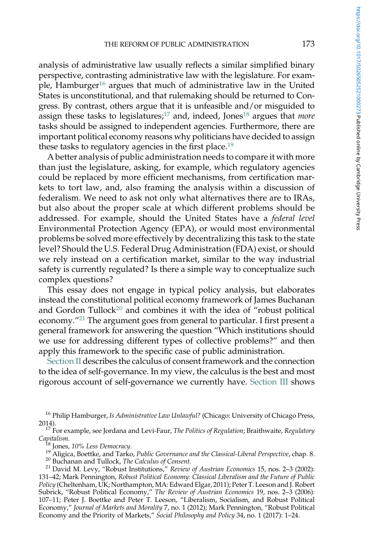analysis of administrative law usually reflects a similar simplified binary perspective, contrasting administrative law with the legislature. For example, Hamburger<sup>16</sup> argues that much of administrative law in the United States is unconstitutional, and that rulemaking should be returned to Congress. By contrast, others argue that it is unfeasible and/or misguided to assign these tasks to legislatures; $^{17}$  and, indeed, Jones<sup>18</sup> argues that *more* tasks should be assigned to independent agencies. Furthermore, there are important political economy reasons why politicians have decided to assign these tasks to regulatory agencies in the first place.<sup>19</sup>

A better analysis of public administration needs to compare it with more than just the legislature, asking, for example, which regulatory agencies could be replaced by more efficient mechanisms, from certification markets to tort law, and, also framing the analysis within a discussion of federalism. We need to ask not only what alternatives there are to IRAs, but also about the proper scale at which different problems should be addressed. For example, should the United States have a federal level Environmental Protection Agency (EPA), or would most environmental problems be solved more effectively by decentralizing this task to the state level? Should the U.S. Federal Drug Administration (FDA) exist, or should we rely instead on a certification market, similar to the way industrial safety is currently regulated? Is there a simple way to conceptualize such complex questions?

This essay does not engage in typical policy analysis, but elaborates instead the constitutional political economy framework of James Buchanan and Gordon Tullock<sup>20</sup> and combines it with the idea of "robust political economy."<sup>21</sup> The argument goes from general to particular. I first present a general framework for answering the question "Which institutions should we use for addressing different types of collective problems?" and then apply this framework to the specific case of public administration.

[Section II](#page-4-0) describes the calculus of consent framework and the connection to the idea of self-governance. In my view, the calculus is the best and most rigorous account of self-governance we currently have. [Section III](#page-15-0) shows

<sup>&</sup>lt;sup>16</sup> Philip Hamburger, Is Administrative Law Unlawful? (Chicago: University of Chicago Press,

<sup>2014).&</sup>lt;br><sup>17</sup> For example, see Jordana and Levi-Faur, *The Politics of Regulation*; Braithwaite, *Regulatory* Capitalism.

<sup>&</sup>lt;sup>18</sup> Jones, 10% Less Democracy.<br><sup>19</sup> Aligica, Boettke, and Tarko, *Public Governance and the Classical-Liberal Perspective*, chap. 8.<br><sup>20</sup> Buchanan and Tullock, *The Calculus of Consent.*<br><sup>21</sup> David M. Levy, "Robust Instit

<sup>131</sup>–42; Mark Pennington, Robust Political Economy: Classical Liberalism and the Future of Public Policy (Cheltenham, UK; Northampton, MA: Edward Elgar, 2011); Peter T. Leeson and J. Robert Subrick, "Robust Political Economy," The Review of Austrian Economics 19, nos. 2–3 (2006): 107–11; Peter J. Boettke and Peter T. Leeson, "Liberalism, Socialism, and Robust Political Economy," Journal of Markets and Morality 7, no. 1 (2012); Mark Pennington, "Robust Political Economy and the Priority of Markets," Social Philosophy and Policy 34, no. 1 (2017): 1–24.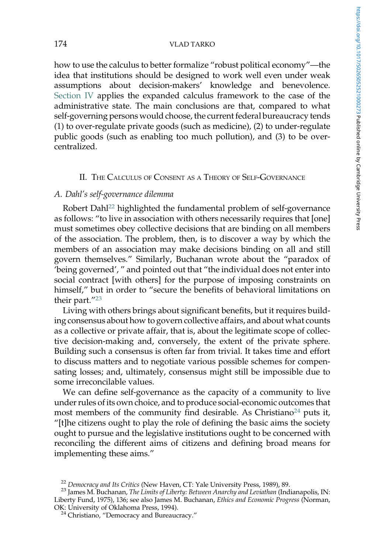<span id="page-4-0"></span>how to use the calculus to better formalize "robust political economy"—the idea that institutions should be designed to work well even under weak assumptions about decision-makers' knowledge and benevolence. [Section IV](#page-20-0) applies the expanded calculus framework to the case of the administrative state. The main conclusions are that, compared to what self-governing persons would choose, the current federal bureaucracy tends (1) to over-regulate private goods (such as medicine), (2) to under-regulate public goods (such as enabling too much pollution), and (3) to be overcentralized.

### II. THE CALCULUS OF CONSENT AS A THEORY OF SELF-GOVERNANCE

# A. Dahl's self-governance dilemma

Robert Dahl<sup>22</sup> highlighted the fundamental problem of self-governance as follows: "to live in association with others necessarily requires that [one] must sometimes obey collective decisions that are binding on all members of the association. The problem, then, is to discover a way by which the members of an association may make decisions binding on all and still govern themselves." Similarly, Buchanan wrote about the "paradox of 'being governed', " and pointed out that "the individual does not enter into social contract [with others] for the purpose of imposing constraints on himself," but in order to "secure the benefits of behavioral limitations on their part."<sup>23</sup>

Living with others brings about significant benefits, but it requires building consensus about how to govern collective affairs, and about what counts as a collective or private affair, that is, about the legitimate scope of collective decision-making and, conversely, the extent of the private sphere. Building such a consensus is often far from trivial. It takes time and effort to discuss matters and to negotiate various possible schemes for compensating losses; and, ultimately, consensus might still be impossible due to some irreconcilable values.

We can define self-governance as the capacity of a community to live under rules of its own choice, and to produce social-economic outcomes that most members of the community find desirable. As Christiano<sup>24</sup> puts it, "[t]he citizens ought to play the role of defining the basic aims the society ought to pursue and the legislative institutions ought to be concerned with reconciling the different aims of citizens and defining broad means for implementing these aims."

<sup>&</sup>lt;sup>22</sup> Democracy and Its Critics (New Haven, CT: Yale University Press, 1989), 89.<br><sup>23</sup> James M. Buchanan, *The Limits of Liberty: Between Anarchy and Leviathan* (Indianapolis, IN: Liberty Fund, 1975), 136; see also James M. Buchanan, *Ethics and Economic Progress* (Norman, OK: University of Oklahoma Press, 1994).

<sup>&</sup>lt;sup>24</sup> Christiano, "Democracy and Bureaucracy."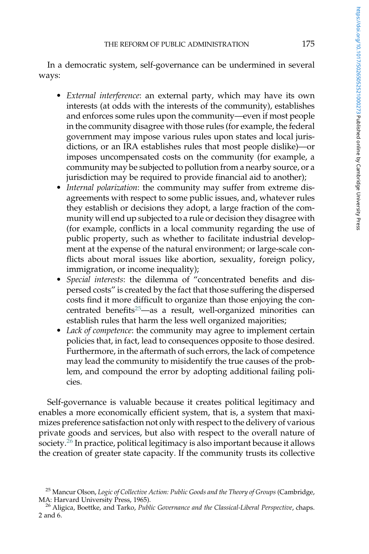In a democratic system, self-governance can be undermined in several ways:

- External interference: an external party, which may have its own interests (at odds with the interests of the community), establishes and enforces some rules upon the community—even if most people in the community disagree with those rules (for example, the federal government may impose various rules upon states and local jurisdictions, or an IRA establishes rules that most people dislike)—or imposes uncompensated costs on the community (for example, a community may be subjected to pollution from a nearby source, or a jurisdiction may be required to provide financial aid to another);
- Internal polarization: the community may suffer from extreme disagreements with respect to some public issues, and, whatever rules they establish or decisions they adopt, a large fraction of the community will end up subjected to a rule or decision they disagree with (for example, conflicts in a local community regarding the use of public property, such as whether to facilitate industrial development at the expense of the natural environment; or large-scale conflicts about moral issues like abortion, sexuality, foreign policy, immigration, or income inequality);
- Special interests: the dilemma of "concentrated benefits and dispersed costs" is created by the fact that those suffering the dispersed costs find it more difficult to organize than those enjoying the concentrated benefits<sup>25</sup>—as a result, well-organized minorities can establish rules that harm the less well organized majorities;
- Lack of competence: the community may agree to implement certain policies that, in fact, lead to consequences opposite to those desired. Furthermore, in the aftermath of such errors, the lack of competence may lead the community to misidentify the true causes of the problem, and compound the error by adopting additional failing policies.

Self-governance is valuable because it creates political legitimacy and enables a more economically efficient system, that is, a system that maximizes preference satisfaction not only with respect to the delivery of various private goods and services, but also with respect to the overall nature of society.<sup>26</sup> In practice, political legitimacy is also important because it allows the creation of greater state capacity. If the community trusts its collective

<sup>&</sup>lt;sup>25</sup> Mancur Olson, *Logic of Collective Action: Public Goods and the Theory of Groups* (Cambridge, MA: Harvard University Press, 1965).

<sup>&</sup>lt;sup>26</sup> Aligica, Boettke, and Tarko, Public Governance and the Classical-Liberal Perspective, chaps. 2 and 6.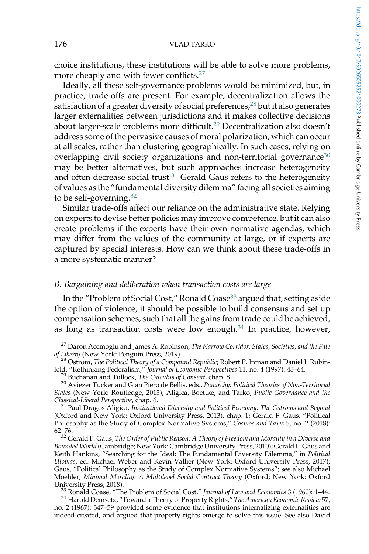choice institutions, these institutions will be able to solve more problems, more cheaply and with fewer conflicts.<sup>27</sup>

Ideally, all these self-governance problems would be minimized, but, in practice, trade-offs are present. For example, decentralization allows the satisfaction of a greater diversity of social preferences,<sup>28</sup> but it also generates larger externalities between jurisdictions and it makes collective decisions about larger-scale problems more difficult.<sup>29</sup> Decentralization also doesn't address some of the pervasive causes of moral polarization, which can occur at all scales, rather than clustering geographically. In such cases, relying on overlapping civil society organizations and non-territorial governance<sup>30</sup> may be better alternatives, but such approaches increase heterogeneity and often decrease social trust. $31$  Gerald Gaus refers to the heterogeneity of values as the "fundamental diversity dilemma" facing all societies aiming to be self-governing. $32$ 

Similar trade-offs affect our reliance on the administrative state. Relying on experts to devise better policies may improve competence, but it can also create problems if the experts have their own normative agendas, which may differ from the values of the community at large, or if experts are captured by special interests. How can we think about these trade-offs in a more systematic manner?

## B. Bargaining and deliberation when transaction costs are large

In the "Problem of Social Cost," Ronald Coase<sup>33</sup> argued that, setting aside the option of violence, it should be possible to build consensus and set up compensation schemes, such that all the gains from trade could be achieved, as long as transaction costs were low enough.<sup>34</sup> In practice, however,

 $27$  Daron Acemoglu and James A. Robinson, *The Narrow Corridor: States, Societies, and the Fate of Liberty* (New York: Penguin Press, 2019).

<sup>28</sup> Ostrom, *The Political Theory of a Compound Republic; Robert P. Inman and Daniel L Rubinfeld, "Rethinking Federalism," Journal of Economic Perspectives 11, no. 4 (1997): 43-64.* 

<sup>29</sup> Buchanan and Tullock, *The Calculus of Consent*, chap. 8.<br><sup>30</sup> Aviezer Tucker and Gian Piero de Bellis, eds., *Panarchy: Political Theories of Non-Territorial* States (New York: Routledge, 2015); Aligica, Boettke, and Tarko, Public Governance and the Classical-Liberal Perspective, chap. 6.<br><sup>31</sup> Paul Dragos Aligica, Institutional Diversity and Political Economy: The Ostroms and Beyond

(Oxford and New York: Oxford University Press, 2013), chap. 1; Gerald F. Gaus, "Political Philosophy as the Study of Complex Normative Systems," Cosmos and Taxis 5, no. 2 (2018): 62–76.

 $32$  Gerald F. Gaus, The Order of Public Reason: A Theory of Freedom and Morality in a Diverse and Bounded World (Cambridge; New York: Cambridge University Press, 2010); Gerald F. Gaus and Keith Hankins, "Searching for the Ideal: The Fundamental Diversity Dilemma," in Political Utopias, ed. Michael Weber and Kevin Vallier (New York: Oxford University Press, 2017); Gaus, "Political Philosophy as the Study of Complex Normative Systems"; see also Michael Moehler, *Minimal Morality: A Multilevel Social Contract Theory (Oxford; New York: Oxford*<br>University Press, 2018).

<sup>33</sup> Ronald Coase, "The Problem of Social Cost," Journal of Law and Economics 3 (1960): 1–44.  $34$  Harold Demsetz, "Toward a Theory of Property Rights," The American Economic Review 57,

no. 2 (1967): 347–59 provided some evidence that institutions internalizing externalities are indeed created, and argued that property rights emerge to solve this issue. See also David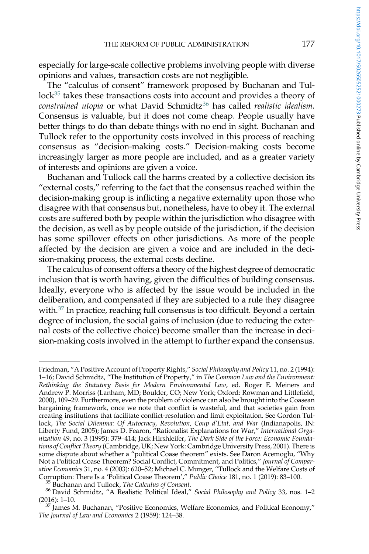especially for large-scale collective problems involving people with diverse opinions and values, transaction costs are not negligible.

The "calculus of consent" framework proposed by Buchanan and Tullock<sup>35</sup> takes these transactions costs into account and provides a theory of constrained utopia or what David Schmidtz<sup>36</sup> has called realistic idealism. Consensus is valuable, but it does not come cheap. People usually have better things to do than debate things with no end in sight. Buchanan and Tullock refer to the opportunity costs involved in this process of reaching consensus as "decision-making costs." Decision-making costs become increasingly larger as more people are included, and as a greater variety of interests and opinions are given a voice.

Buchanan and Tullock call the harms created by a collective decision its "external costs," referring to the fact that the consensus reached within the decision-making group is inflicting a negative externality upon those who disagree with that consensus but, nonetheless, have to obey it. The external costs are suffered both by people within the jurisdiction who disagree with the decision, as well as by people outside of the jurisdiction, if the decision has some spillover effects on other jurisdictions. As more of the people affected by the decision are given a voice and are included in the decision-making process, the external costs decline.

The calculus of consent offers a theory of the highest degree of democratic inclusion that is worth having, given the difficulties of building consensus. Ideally, everyone who is affected by the issue would be included in the deliberation, and compensated if they are subjected to a rule they disagree with.<sup>37</sup> In practice, reaching full consensus is too difficult. Beyond a certain degree of inclusion, the social gains of inclusion (due to reducing the external costs of the collective choice) become smaller than the increase in decision-making costs involved in the attempt to further expand the consensus.

Friedman, "A Positive Account of Property Rights," Social Philosophy and Policy 11, no. 2 (1994): 1–16; David Schmidtz, "The Institution of Property," in The Common Law and the Environment: Rethinking the Statutory Basis for Modern Environmental Law, ed. Roger E. Meiners and Andrew P. Morriss (Lanham, MD; Boulder, CO; New York; Oxford: Rowman and Littlefield, 2000), 109–29. Furthermore, even the problem of violence can also be brought into the Coasean bargaining framework, once we note that conflict is wasteful, and that societies gain from creating institutions that facilitate conflict-resolution and limit exploitation. See Gordon Tullock, The Social Dilemma: Of Autocracy, Revolution, Coup d'Etat, and War (Indianapolis, IN: Liberty Fund, 2005); James D. Fearon, "Rationalist Explanations for War," International Organization 49, no. 3 (1995): 379–414; Jack Hirshleifer, The Dark Side of the Force: Economic Foundations of Conflict Theory (Cambridge, UK; New York: Cambridge University Press, 2001). There is some dispute about whether a "political Coase theorem" exists. See Daron Acemoglu, "Why Not a Political Coase Theorem? Social Conflict, Commitment, and Politics," Journal of Comparative Economics 31, no. 4 (2003): 620–52; Michael C. Munger, "Tullock and the Welfare Costs of Corruption: There Is a 'Political Coase Theorem'," Public Choice 181, no. 1 (2019): 83–100.

<sup>&</sup>lt;sup>35</sup> Buchanan and Tullock, *The Calculus of Consent*.<br><sup>36</sup> David Schmidtz, "A Realistic Political Ideal," *Social Philosophy and Policy* 33, nos. 1–2 (2016): 1–10.

<sup>&</sup>lt;sup>7</sup> James M. Buchanan, "Positive Economics, Welfare Economics, and Political Economy," The Journal of Law and Economics 2 (1959): 124–38.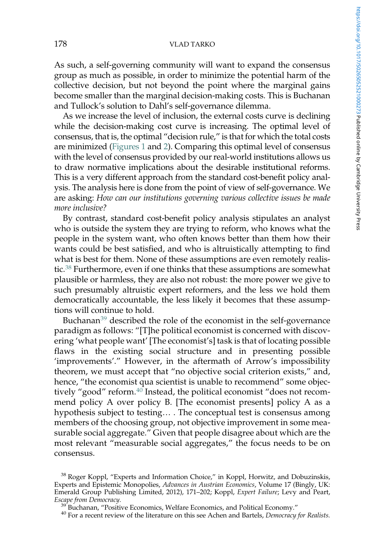As such, a self-governing community will want to expand the consensus group as much as possible, in order to minimize the potential harm of the collective decision, but not beyond the point where the marginal gains become smaller than the marginal decision-making costs. This is Buchanan and Tullock's solution to Dahl's self-governance dilemma.

As we increase the level of inclusion, the external costs curve is declining while the decision-making cost curve is increasing. The optimal level of consensus, that is, the optimal "decision rule," is that for which the total costs are minimized [\(Figures 1](#page-9-0) and [2\)](#page-9-0). Comparing this optimal level of consensus with the level of consensus provided by our real-world institutions allows us to draw normative implications about the desirable institutional reforms. This is a very different approach from the standard cost-benefit policy analysis. The analysis here is done from the point of view of self-governance. We are asking: How can our institutions governing various collective issues be made more inclusive?

By contrast, standard cost-benefit policy analysis stipulates an analyst who is outside the system they are trying to reform, who knows what the people in the system want, who often knows better than them how their wants could be best satisfied, and who is altruistically attempting to find what is best for them. None of these assumptions are even remotely realistic.<sup>38</sup> Furthermore, even if one thinks that these assumptions are somewhat plausible or harmless, they are also not robust: the more power we give to such presumably altruistic expert reformers, and the less we hold them democratically accountable, the less likely it becomes that these assumptions will continue to hold.

Buchanan<sup>39</sup> described the role of the economist in the self-governance paradigm as follows: "[T]he political economist is concerned with discovering 'what people want' [The economist's] task is that of locating possible flaws in the existing social structure and in presenting possible 'improvements'." However, in the aftermath of Arrow's impossibility theorem, we must accept that "no objective social criterion exists," and, hence, "the economist qua scientist is unable to recommend" some objectively "good" reform.<sup>40</sup> Instead, the political economist "does not recommend policy A over policy B. [The economist presents] policy A as a hypothesis subject to testing… . The conceptual test is consensus among members of the choosing group, not objective improvement in some measurable social aggregate." Given that people disagree about which are the most relevant "measurable social aggregates," the focus needs to be on consensus.

<sup>&</sup>lt;sup>38</sup> Roger Koppl, "Experts and Information Choice," in Koppl, Horwitz, and Dobuzinskis, Experts and Epistemic Monopolies, Advances in Austrian Economics, Volume 17 (Bingly, UK: Emerald Group Publishing Limited, 2012), 171-202; Koppl, Expert Failure; Levy and Peart,<br>Escape from Democracy.

<sup>&</sup>lt;sup>39</sup> Buchanan, "Positive Economics, Welfare Economics, and Political Economy."  $40$  For a recent review of the literature on this see Achen and Bartels, *Democracy for Realists*.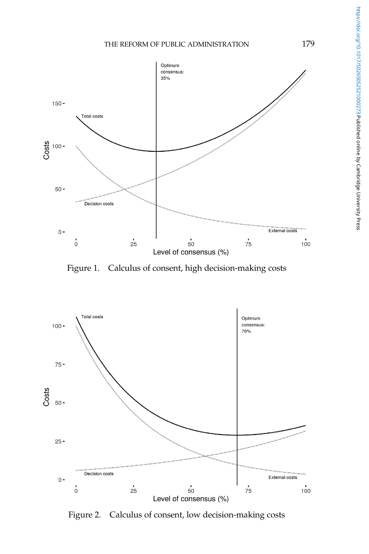<span id="page-9-0"></span>

Figure 1. Calculus of consent, high decision-making costs



Figure 2. Calculus of consent, low decision-making costs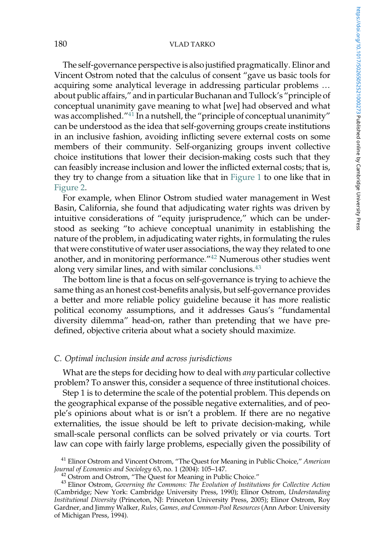The self-governance perspective is also justified pragmatically. Elinor and Vincent Ostrom noted that the calculus of consent "gave us basic tools for acquiring some analytical leverage in addressing particular problems … about public affairs," and in particular Buchanan and Tullock's "principle of conceptual unanimity gave meaning to what [we] had observed and what was accomplished."<sup>41</sup> In a nutshell, the "principle of conceptual unanimity" can be understood as the idea that self-governing groups create institutions in an inclusive fashion, avoiding inflicting severe external costs on some members of their community. Self-organizing groups invent collective choice institutions that lower their decision-making costs such that they can feasibly increase inclusion and lower the inflicted external costs; that is, they try to change from a situation like that in [Figure 1](#page-9-0) to one like that in [Figure 2](#page-9-0).

For example, when Elinor Ostrom studied water management in West Basin, California, she found that adjudicating water rights was driven by intuitive considerations of "equity jurisprudence," which can be understood as seeking "to achieve conceptual unanimity in establishing the nature of the problem, in adjudicating water rights, in formulating the rules that were constitutive of water user associations, the way they related to one another, and in monitoring performance."<sup>42</sup> Numerous other studies went along very similar lines, and with similar conclusions. $43$ 

The bottom line is that a focus on self-governance is trying to achieve the same thing as an honest cost-benefits analysis, but self-governance provides a better and more reliable policy guideline because it has more realistic political economy assumptions, and it addresses Gaus's "fundamental diversity dilemma" head-on, rather than pretending that we have predefined, objective criteria about what a society should maximize.

### C. Optimal inclusion inside and across jurisdictions

What are the steps for deciding how to deal with *any* particular collective problem? To answer this, consider a sequence of three institutional choices.

Step 1 is to determine the scale of the potential problem. This depends on the geographical expanse of the possible negative externalities, and of people's opinions about what is or isn't a problem. If there are no negative externalities, the issue should be left to private decision-making, while small-scale personal conflicts can be solved privately or via courts. Tort law can cope with fairly large problems, especially given the possibility of

<sup>&</sup>lt;sup>41</sup> Elinor Ostrom and Vincent Ostrom, "The Quest for Meaning in Public Choice," American Journal of Economics and Sociology 63, no. 1 (2004): 105-147.

 $^{42}$  Ostrom and Ostrom, "The Quest for Meaning in Public Choice."  $^{43}$  Elinor Ostrom, Governing the Commons: The Evolution of Institutions for Collective Action (Cambridge; New York: Cambridge University Press, 1990); Elinor Ostrom, Understanding Institutional Diversity (Princeton, NJ: Princeton University Press, 2005); Elinor Ostrom, Roy Gardner, and Jimmy Walker, Rules, Games, and Common-Pool Resources (Ann Arbor: University of Michigan Press, 1994).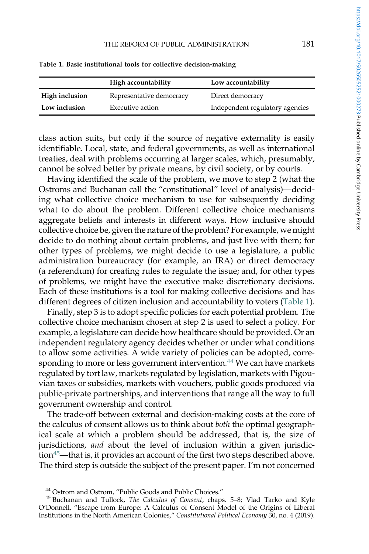|                | High accountability      | Low accountability              |
|----------------|--------------------------|---------------------------------|
| High inclusion | Representative democracy | Direct democracy                |
| Low inclusion  | Executive action         | Independent regulatory agencies |

Table 1. Basic institutional tools for collective decision-making

class action suits, but only if the source of negative externality is easily identifiable. Local, state, and federal governments, as well as international treaties, deal with problems occurring at larger scales, which, presumably, cannot be solved better by private means, by civil society, or by courts.

Having identified the scale of the problem, we move to step 2 (what the Ostroms and Buchanan call the "constitutional" level of analysis)—deciding what collective choice mechanism to use for subsequently deciding what to do about the problem. Different collective choice mechanisms aggregate beliefs and interests in different ways. How inclusive should collective choice be, given the nature of the problem? For example, we might decide to do nothing about certain problems, and just live with them; for other types of problems, we might decide to use a legislature, a public administration bureaucracy (for example, an IRA) or direct democracy (a referendum) for creating rules to regulate the issue; and, for other types of problems, we might have the executive make discretionary decisions. Each of these institutions is a tool for making collective decisions and has different degrees of citizen inclusion and accountability to voters (Table 1).

Finally, step 3 is to adopt specific policies for each potential problem. The collective choice mechanism chosen at step 2 is used to select a policy. For example, a legislature can decide how healthcare should be provided. Or an independent regulatory agency decides whether or under what conditions to allow some activities. A wide variety of policies can be adopted, corresponding to more or less government intervention.<sup>44</sup> We can have markets regulated by tort law, markets regulated by legislation, markets with Pigouvian taxes or subsidies, markets with vouchers, public goods produced via public-private partnerships, and interventions that range all the way to full government ownership and control.

The trade-off between external and decision-making costs at the core of the calculus of consent allows us to think about both the optimal geographical scale at which a problem should be addressed, that is, the size of jurisdictions, and about the level of inclusion within a given jurisdiction<sup>45</sup>—that is, it provides an account of the first two steps described above. The third step is outside the subject of the present paper. I'm not concerned

<sup>&</sup>lt;sup>44</sup> Ostrom and Ostrom, "Public Goods and Public Choices."<br><sup>45</sup> Buchanan and Tullock, *The Calculus of Consent*, chaps. 5–8; Vlad Tarko and Kyle O'Donnell, "Escape from Europe: A Calculus of Consent Model of the Origins of Liberal Institutions in the North American Colonies," Constitutional Political Economy 30, no. 4 (2019).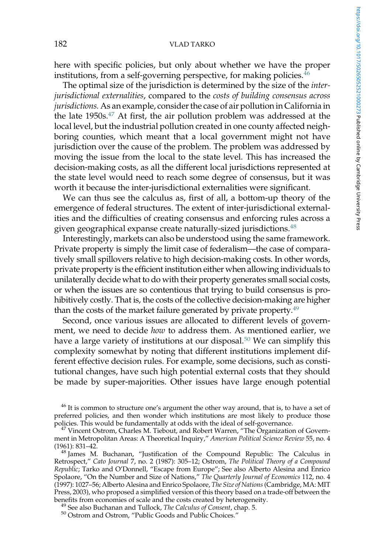here with specific policies, but only about whether we have the proper institutions, from a self-governing perspective, for making policies.<sup>46</sup>

The optimal size of the jurisdiction is determined by the size of the interjurisdictional externalities, compared to the costs of building consensus across jurisdictions. As an example, consider the case of air pollution in California in the late  $1950s$ .<sup>47</sup> At first, the air pollution problem was addressed at the local level, but the industrial pollution created in one county affected neighboring counties, which meant that a local government might not have jurisdiction over the cause of the problem. The problem was addressed by moving the issue from the local to the state level. This has increased the decision-making costs, as all the different local jurisdictions represented at the state level would need to reach some degree of consensus, but it was worth it because the inter-jurisdictional externalities were significant.

We can thus see the calculus as, first of all, a bottom-up theory of the emergence of federal structures. The extent of inter-jurisdictional externalities and the difficulties of creating consensus and enforcing rules across a given geographical expanse create naturally-sized jurisdictions.<sup>48</sup>

Interestingly, markets can also be understood using the same framework. Private property is simply the limit case of federalism—the case of comparatively small spillovers relative to high decision-making costs. In other words, private property is the efficient institution either when allowing individuals to unilaterally decide what to do with their property generates small social costs, or when the issues are so contentious that trying to build consensus is prohibitively costly. That is, the costs of the collective decision-making are higher than the costs of the market failure generated by private property.<sup>49</sup>

Second, once various issues are allocated to different levels of government, we need to decide *how* to address them. As mentioned earlier, we have a large variety of institutions at our disposal.<sup>50</sup> We can simplify this complexity somewhat by noting that different institutions implement different effective decision rules. For example, some decisions, such as constitutional changes, have such high potential external costs that they should be made by super-majorities. Other issues have large enough potential

 $46$  It is common to structure one's argument the other way around, that is, to have a set of preferred policies, and then wonder which institutions are most likely to produce those policies. This would be fundamentally at odds with the ideal of self-governance.

 $^{47}$  Vincent Ostrom, Charles M. Tiebout, and Robert Warren, "The Organization of Government in Metropolitan Areas: A Theoretical Inquiry," American Political Science Review 55, no. 4 (1961): 831-42. (1961): 831–42.<br><sup>48</sup> James M. Buchanan, "Justification of the Compound Republic: The Calculus in

Retrospect," Cato Journal 7, no. 2 (1987): 305–12; Ostrom, The Political Theory of a Compound Republic; Tarko and O'Donnell, "Escape from Europe"; See also Alberto Alesina and Enrico Spolaore, "On the Number and Size of Nations," The Quarterly Journal of Economics 112, no. 4 (1997): 1027–56; Alberto Alesina and Enrico Spolaore, *The Size of Nations* (Cambridge, MA: MIT Press, 2003), who proposed a simplified version of this theory based on a trade-off between the<br>benefits from economies of scale and the costs created by heterogeneity.

<sup>&</sup>lt;sup>49</sup> See also Buchanan and Tullock, *The Calculus of Consent*, chap. 5.  $50$  Ostrom and Ostrom, "Public Goods and Public Choices."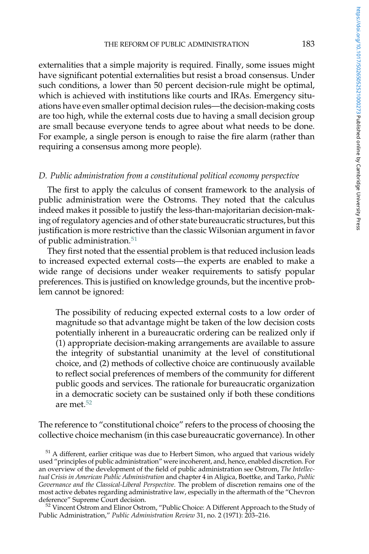externalities that a simple majority is required. Finally, some issues might have significant potential externalities but resist a broad consensus. Under such conditions, a lower than 50 percent decision-rule might be optimal, which is achieved with institutions like courts and IRAs. Emergency situations have even smaller optimal decision rules—the decision-making costs are too high, while the external costs due to having a small decision group are small because everyone tends to agree about what needs to be done. For example, a single person is enough to raise the fire alarm (rather than requiring a consensus among more people).

# D. Public administration from a constitutional political economy perspective

The first to apply the calculus of consent framework to the analysis of public administration were the Ostroms. They noted that the calculus indeed makes it possible to justify the less-than-majoritarian decision-making of regulatory agencies and of other state bureaucratic structures, but this justification is more restrictive than the classic Wilsonian argument in favor of public administration.<sup>51</sup>

They first noted that the essential problem is that reduced inclusion leads to increased expected external costs—the experts are enabled to make a wide range of decisions under weaker requirements to satisfy popular preferences. This is justified on knowledge grounds, but the incentive problem cannot be ignored:

The possibility of reducing expected external costs to a low order of magnitude so that advantage might be taken of the low decision costs potentially inherent in a bureaucratic ordering can be realized only if (1) appropriate decision-making arrangements are available to assure the integrity of substantial unanimity at the level of constitutional choice, and (2) methods of collective choice are continuously available to reflect social preferences of members of the community for different public goods and services. The rationale for bureaucratic organization in a democratic society can be sustained only if both these conditions are met.52

The reference to "constitutional choice" refers to the process of choosing the collective choice mechanism (in this case bureaucratic governance). In other

 $51$  A different, earlier critique was due to Herbert Simon, who argued that various widely used "principles of public administration" were incoherent, and, hence, enabled discretion. For an overview of the development of the field of public administration see Ostrom, The Intellectual Crisis in American Public Administration and chapter 4 in Aligica, Boettke, and Tarko, Public Governance and the Classical-Liberal Perspective. The problem of discretion remains one of the most active debates regarding administrative law, especially in the aftermath of the "Chevron

 $52$  Vincent Ostrom and Elinor Ostrom, "Public Choice: A Different Approach to the Study of Public Administration," Public Administration Review 31, no. 2 (1971): 203–216.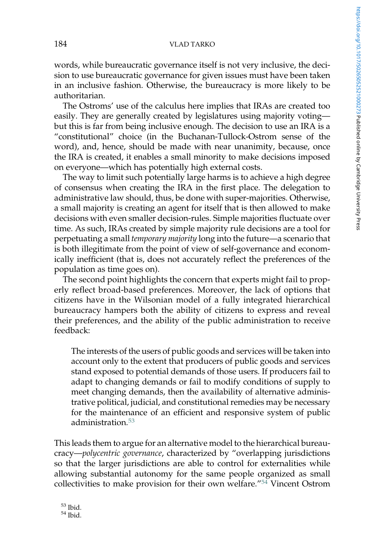words, while bureaucratic governance itself is not very inclusive, the decision to use bureaucratic governance for given issues must have been taken in an inclusive fashion. Otherwise, the bureaucracy is more likely to be authoritarian.

The Ostroms' use of the calculus here implies that IRAs are created too easily. They are generally created by legislatures using majority voting but this is far from being inclusive enough. The decision to use an IRA is a "constitutional" choice (in the Buchanan-Tullock-Ostrom sense of the word), and, hence, should be made with near unanimity, because, once the IRA is created, it enables a small minority to make decisions imposed on everyone—which has potentially high external costs.

The way to limit such potentially large harms is to achieve a high degree of consensus when creating the IRA in the first place. The delegation to administrative law should, thus, be done with super-majorities. Otherwise, a small majority is creating an agent for itself that is then allowed to make decisions with even smaller decision-rules. Simple majorities fluctuate over time. As such, IRAs created by simple majority rule decisions are a tool for perpetuating a small temporary majority long into the future—a scenario that is both illegitimate from the point of view of self-governance and economically inefficient (that is, does not accurately reflect the preferences of the population as time goes on).

The second point highlights the concern that experts might fail to properly reflect broad-based preferences. Moreover, the lack of options that citizens have in the Wilsonian model of a fully integrated hierarchical bureaucracy hampers both the ability of citizens to express and reveal their preferences, and the ability of the public administration to receive feedback:

The interests of the users of public goods and services will be taken into account only to the extent that producers of public goods and services stand exposed to potential demands of those users. If producers fail to adapt to changing demands or fail to modify conditions of supply to meet changing demands, then the availability of alternative administrative political, judicial, and constitutional remedies may be necessary for the maintenance of an efficient and responsive system of public administration.<sup>53</sup>

This leads them to argue for an alternative model to the hierarchical bureaucracy—polycentric governance, characterized by "overlapping jurisdictions so that the larger jurisdictions are able to control for externalities while allowing substantial autonomy for the same people organized as small collectivities to make provision for their own welfare."<sup>54</sup> Vincent Ostrom

 $^{53}$  Ibid.<br> $^{54}$  Ibid.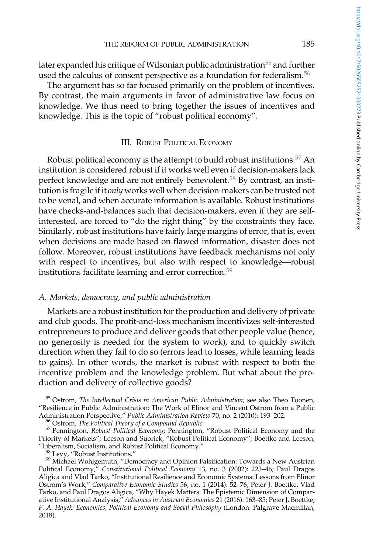<span id="page-15-0"></span>later expanded his critique of Wilsonian public administration<sup>55</sup> and further used the calculus of consent perspective as a foundation for federalism.<sup>56</sup>

The argument has so far focused primarily on the problem of incentives. By contrast, the main arguments in favor of administrative law focus on knowledge. We thus need to bring together the issues of incentives and knowledge. This is the topic of "robust political economy".

### III. ROBUST POLITICAL ECONOMY

Robust political economy is the attempt to build robust institutions.<sup>57</sup> An institution is considered robust if it works well even if decision-makers lack perfect knowledge and are not entirely benevolent.<sup>58</sup> By contrast, an institution is fragile if it only works well when decision-makers can be trusted not to be venal, and when accurate information is available. Robust institutions have checks-and-balances such that decision-makers, even if they are selfinterested, are forced to "do the right thing" by the constraints they face. Similarly, robust institutions have fairly large margins of error, that is, even when decisions are made based on flawed information, disaster does not follow. Moreover, robust institutions have feedback mechanisms not only with respect to incentives, but also with respect to knowledge—robust institutions facilitate learning and error correction.<sup>59</sup>

### A. Markets, democracy, and public administration

Markets are a robust institution for the production and delivery of private and club goods. The profit-and-loss mechanism incentivizes self-interested entrepreneurs to produce and deliver goods that other people value (hence, no generosity is needed for the system to work), and to quickly switch direction when they fail to do so (errors lead to losses, while learning leads to gains). In other words, the market is robust with respect to both the incentive problem and the knowledge problem. But what about the production and delivery of collective goods?

<sup>55</sup> Ostrom, The Intellectual Crisis in American Public Administration; see also Theo Toonen, "Resilience in Public Administration: The Work of Elinor and Vincent Ostrom from a Public<br>Administration Perspective," Public Administration Review 70, no. 2 (2010): 193–202.

<sup>56</sup> Ostrom, The Political Theory of a Compound Republic.<br><sup>57</sup> Pennington, Robust Political Economy; Pennington, "Robust Political Economy and the Priority of Markets"; Leeson and Subrick, "Robust Political Economy"; Boettke and Leeson, "Liberalism, Socialism, and Robust Political Economy."

<sup>58</sup> Levy, "Robust Institutions."<br><sup>59</sup> Michael Wohlgemuth, "Democracy and Opinion Falsification: Towards a New Austrian Political Economy," Constitutional Political Economy 13, no. 3 (2002): 223–46; Paul Dragos Aligica and Vlad Tarko, "Institutional Resilience and Economic Systems: Lessons from Elinor Ostrom's Work," Comparative Economic Studies 56, no. 1 (2014): 52–76; Peter J. Boettke, Vlad Tarko, and Paul Dragos Aligica, "Why Hayek Matters: The Epistemic Dimension of Comparative Institutional Analysis," Advances in Austrian Economics 21 (2016): 163–85; Peter J. Boettke, F. A. Hayek: Economics, Political Economy and Social Philosophy (London: Palgrave Macmillan, 2018).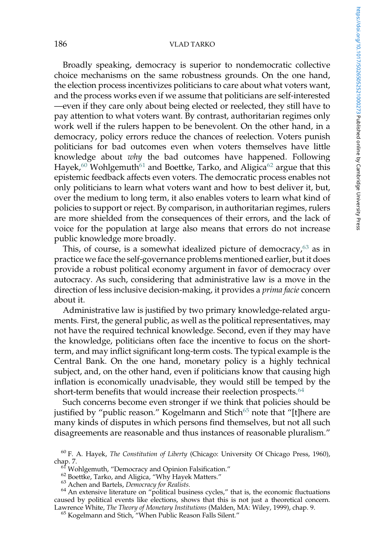Broadly speaking, democracy is superior to nondemocratic collective choice mechanisms on the same robustness grounds. On the one hand, the election process incentivizes politicians to care about what voters want, and the process works even if we assume that politicians are self-interested —even if they care only about being elected or reelected, they still have to pay attention to what voters want. By contrast, authoritarian regimes only work well if the rulers happen to be benevolent. On the other hand, in a democracy, policy errors reduce the chances of reelection. Voters punish politicians for bad outcomes even when voters themselves have little knowledge about why the bad outcomes have happened. Following Hayek,<sup>60</sup> Wohlgemuth<sup>61</sup> and Boettke, Tarko, and Aligica<sup>62</sup> argue that this epistemic feedback affects even voters. The democratic process enables not only politicians to learn what voters want and how to best deliver it, but, over the medium to long term, it also enables voters to learn what kind of policies to support or reject. By comparison, in authoritarian regimes, rulers are more shielded from the consequences of their errors, and the lack of voice for the population at large also means that errors do not increase public knowledge more broadly.

This, of course, is a somewhat idealized picture of democracy, $63$  as in practice we face the self-governance problems mentioned earlier, but it does provide a robust political economy argument in favor of democracy over autocracy. As such, considering that administrative law is a move in the direction of less inclusive decision-making, it provides a prima facie concern about it.

Administrative law is justified by two primary knowledge-related arguments. First, the general public, as well as the political representatives, may not have the required technical knowledge. Second, even if they may have the knowledge, politicians often face the incentive to focus on the shortterm, and may inflict significant long-term costs. The typical example is the Central Bank. On the one hand, monetary policy is a highly technical subject, and, on the other hand, even if politicians know that causing high inflation is economically unadvisable, they would still be temped by the short-term benefits that would increase their reelection prospects.<sup>64</sup>

Such concerns become even stronger if we think that policies should be justified by "public reason." Kogelmann and Stich<sup>65</sup> note that "[t]here are many kinds of disputes in which persons find themselves, but not all such disagreements are reasonable and thus instances of reasonable pluralism."

 $^{60}$  F. A. Hayek, The Constitution of Liberty (Chicago: University Of Chicago Press, 1960), chap. 7.

<sup>&</sup>lt;sup>67</sup> *W*ohlgemuth, "Democracy and Opinion Falsification."<br><sup>62</sup> Boettke, Tarko, and Aligica, "Why Hayek Matters."<br><sup>63</sup> Achen and Bartels, Democracy for Realists.<br><sup>64</sup> An extensive literature on "political business cycles," caused by political events like elections, shows that this is not just a theoretical concern. Lawrence White, *The Theory of Monetary Institutions* (Malden, MA: Wiley, 1999), chap. 9.<br><sup>65</sup> Kogelmann and Stich, "When Public Reason Falls Silent."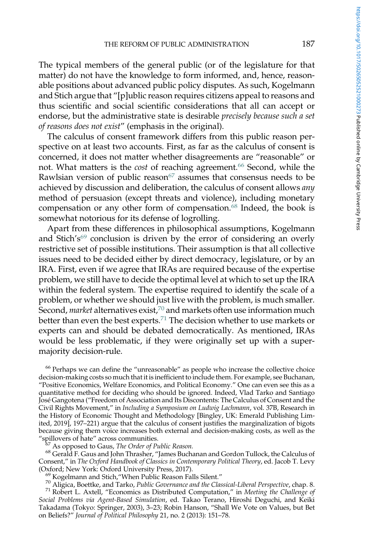The typical members of the general public (or of the legislature for that matter) do not have the knowledge to form informed, and, hence, reasonable positions about advanced public policy disputes. As such, Kogelmann and Stich argue that "[p]ublic reason requires citizens appeal to reasons and thus scientific and social scientific considerations that all can accept or endorse, but the administrative state is desirable precisely because such a set of reasons does not exist" (emphasis in the original).

The calculus of consent framework differs from this public reason perspective on at least two accounts. First, as far as the calculus of consent is concerned, it does not matter whether disagreements are "reasonable" or not. What matters is the cost of reaching agreement.<sup>66</sup> Second, while the Rawlsian version of public reason $67$  assumes that consensus needs to be achieved by discussion and deliberation, the calculus of consent allows any method of persuasion (except threats and violence), including monetary compensation or any other form of compensation.<sup>68</sup> Indeed, the book is somewhat notorious for its defense of logrolling.

Apart from these differences in philosophical assumptions, Kogelmann and Stich's<sup>69</sup> conclusion is driven by the error of considering an overly restrictive set of possible institutions. Their assumption is that all collective issues need to be decided either by direct democracy, legislature, or by an IRA. First, even if we agree that IRAs are required because of the expertise problem, we still have to decide the optimal level at which to set up the IRA within the federal system. The expertise required to identify the scale of a problem, or whether we should just live with the problem, is much smaller. Second, *market* alternatives exist,  $70$  and markets often use information much better than even the best experts.<sup>71</sup> The decision whether to use markets or experts can and should be debated democratically. As mentioned, IRAs would be less problematic, if they were originally set up with a supermajority decision-rule.

<sup>66</sup> Perhaps we can define the "unreasonable" as people who increase the collective choice decision-making costs so much that it is inefficient to include them. For example, see Buchanan, "Positive Economics, Welfare Economics, and Political Economy." One can even see this as a quantitative method for deciding who should be ignored. Indeed, Vlad Tarko and Santiago José Gangotena ("Freedom of Association and Its Discontents: The Calculus of Consent and the Civil Rights Movement," in Including a Symposium on Ludwig Lachmann, vol. 37B, Research in the History of Economic Thought and Methodology [Bingley, UK: Emerald Publishing Limited, 2019], 197–221) argue that the calculus of consent justifies the marginalization of bigots because giving them voice increases both external and decision-making costs, as well as the

 $^{57}$  As opposed to Gaus*, The Order of Public Reason.*<br><sup>68</sup> Gerald F. Gaus and John Thrasher, "James Buchanan and Gordon Tullock, the Calculus of Consent," in The Oxford Handbook of Classics in Contemporary Political Theory, ed. Jacob T. Levy (Oxford; New York: Oxford University Press, 2017).

<sup>69</sup> Kogelmann and Stich, "When Public Reason Falls Silent."<br><sup>70</sup> Aligica, Boettke, and Tarko, *Public Governance and the Classical-Liberal Perspective, c*hap. 8.<br><sup>71</sup> Robert L. Axtell, "Economics as Distributed Computatio Social Problems via Agent-Based Simulation, ed. Takao Terano, Hiroshi Deguchi, and Keiki Takadama (Tokyo: Springer, 2003), 3–23; Robin Hanson, "Shall We Vote on Values, but Bet on Beliefs?" Journal of Political Philosophy 21, no. 2 (2013): 151–78.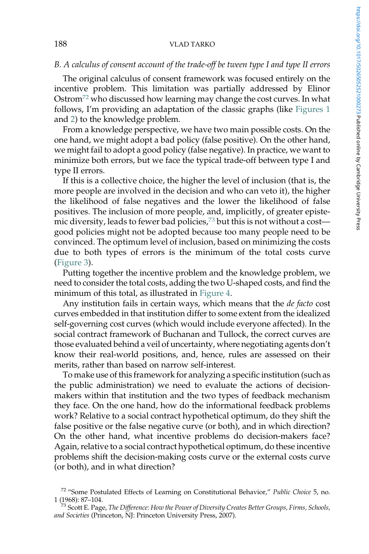# B. A calculus of consent account of the trade-off be tween type I and type II errors

The original calculus of consent framework was focused entirely on the incentive problem. This limitation was partially addressed by Elinor Ostrom<sup>72</sup> who discussed how learning may change the cost curves. In what follows, I'm providing an adaptation of the classic graphs (like [Figures 1](#page-9-0) and [2\)](#page-9-0) to the knowledge problem.

From a knowledge perspective, we have two main possible costs. On the one hand, we might adopt a bad policy (false positive). On the other hand, we might fail to adopt a good policy (false negative). In practice, we want to minimize both errors, but we face the typical trade-off between type I and type II errors.

If this is a collective choice, the higher the level of inclusion (that is, the more people are involved in the decision and who can veto it), the higher the likelihood of false negatives and the lower the likelihood of false positives. The inclusion of more people, and, implicitly, of greater epistemic diversity, leads to fewer bad policies,<sup>73</sup> but this is not without a cost good policies might not be adopted because too many people need to be convinced. The optimum level of inclusion, based on minimizing the costs due to both types of errors is the minimum of the total costs curve ([Figure 3](#page-19-0)).

Putting together the incentive problem and the knowledge problem, we need to consider the total costs, adding the two U-shaped costs, and find the minimum of this total, as illustrated in [Figure 4](#page-19-0).

Any institution fails in certain ways, which means that the *de facto* cost curves embedded in that institution differ to some extent from the idealized self-governing cost curves (which would include everyone affected). In the social contract framework of Buchanan and Tullock, the correct curves are those evaluated behind a veil of uncertainty, where negotiating agents don't know their real-world positions, and, hence, rules are assessed on their merits, rather than based on narrow self-interest.

To make use of this framework for analyzing a specific institution (such as the public administration) we need to evaluate the actions of decisionmakers within that institution and the two types of feedback mechanism they face. On the one hand, how do the informational feedback problems work? Relative to a social contract hypothetical optimum, do they shift the false positive or the false negative curve (or both), and in which direction? On the other hand, what incentive problems do decision-makers face? Again, relative to a social contract hypothetical optimum, do these incentive problems shift the decision-making costs curve or the external costs curve (or both), and in what direction?

 $72$  "Some Postulated Effects of Learning on Constitutional Behavior," Public Choice 5, no. 1 (1968): 87-104.

<sup>&</sup>lt;sup>73</sup> Scott E. Page, The Difference: How the Power of Diversity Creates Better Groups, Firms, Schools, and Societies (Princeton, NJ: Princeton University Press, 2007).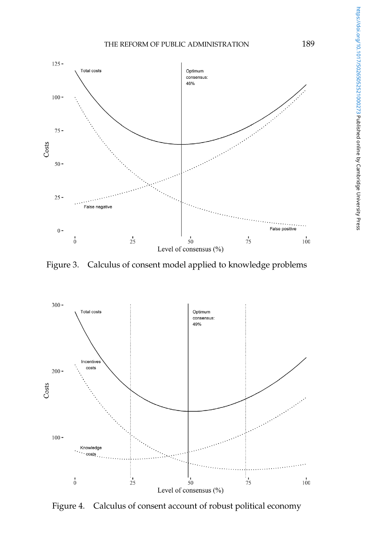<span id="page-19-0"></span>

Figure 3. Calculus of consent model applied to knowledge problems



Figure 4. Calculus of consent account of robust political economy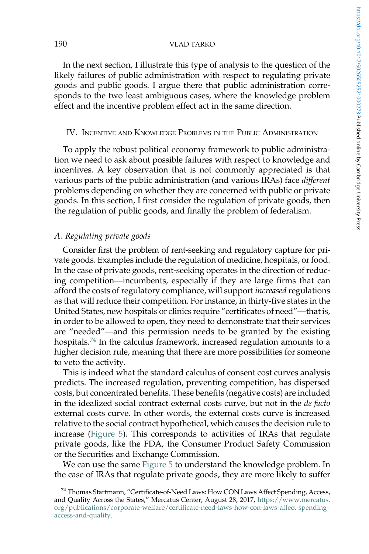<span id="page-20-0"></span>In the next section, I illustrate this type of analysis to the question of the likely failures of public administration with respect to regulating private goods and public goods. I argue there that public administration corresponds to the two least ambiguous cases, where the knowledge problem effect and the incentive problem effect act in the same direction.

### IV. INCENTIVE AND KNOWLEDGE PROBLEMS IN THE PUBLIC ADMINISTRATION

To apply the robust political economy framework to public administration we need to ask about possible failures with respect to knowledge and incentives. A key observation that is not commonly appreciated is that various parts of the public administration (and various IRAs) face *different* problems depending on whether they are concerned with public or private goods. In this section, I first consider the regulation of private goods, then the regulation of public goods, and finally the problem of federalism.

### A. Regulating private goods

Consider first the problem of rent-seeking and regulatory capture for private goods. Examples include the regulation of medicine, hospitals, or food. In the case of private goods, rent-seeking operates in the direction of reducing competition—incumbents, especially if they are large firms that can afford the costs of regulatory compliance, will support *increased* regulations as that will reduce their competition. For instance, in thirty-five states in the United States, new hospitals or clinics require "certificates of need"—that is, in order to be allowed to open, they need to demonstrate that their services are "needed"—and this permission needs to be granted by the existing hospitals.<sup>74</sup> In the calculus framework, increased regulation amounts to a higher decision rule, meaning that there are more possibilities for someone to veto the activity.

This is indeed what the standard calculus of consent cost curves analysis predicts. The increased regulation, preventing competition, has dispersed costs, but concentrated benefits. These benefits (negative costs) are included in the idealized social contract external costs curve, but not in the de facto external costs curve. In other words, the external costs curve is increased relative to the social contract hypothetical, which causes the decision rule to increase [\(Figure 5\)](#page-21-0). This corresponds to activities of IRAs that regulate private goods, like the FDA, the Consumer Product Safety Commission or the Securities and Exchange Commission.

We can use the same [Figure 5](#page-21-0) to understand the knowledge problem. In the case of IRAs that regulate private goods, they are more likely to suffer

<sup>&</sup>lt;sup>74</sup> Thomas Startmann, "Certificate-of-Need Laws: How CON Laws Affect Spending, Access, and Quality Across the States," Mercatus Center, August 28, 2017, [https://www.mercatus.](https://www.mercatus.org/publications/corporate-welfare/certificate-need-laws-how-con-laws-affect-spending-access-and-quality) [org/publications/corporate-welfare/certificate-need-laws-how-con-laws-affect-spending](https://www.mercatus.org/publications/corporate-welfare/certificate-need-laws-how-con-laws-affect-spending-access-and-quality)[access-and-quality.](https://www.mercatus.org/publications/corporate-welfare/certificate-need-laws-how-con-laws-affect-spending-access-and-quality)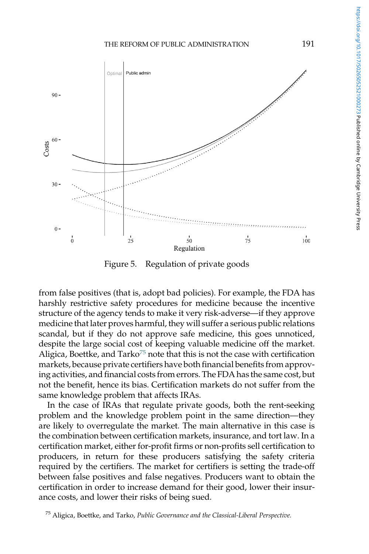<span id="page-21-0"></span>

Figure 5. Regulation of private goods

from false positives (that is, adopt bad policies). For example, the FDA has harshly restrictive safety procedures for medicine because the incentive structure of the agency tends to make it very risk-adverse—if they approve medicine that later proves harmful, they will suffer a serious public relations scandal, but if they do not approve safe medicine, this goes unnoticed, despite the large social cost of keeping valuable medicine off the market. Aligica, Boettke, and  $\text{Tarko}^{75}$  note that this is not the case with certification markets, because private certifiers have both financial benefits from approving activities, and financial costs from errors. The FDA has the same cost, but not the benefit, hence its bias. Certification markets do not suffer from the same knowledge problem that affects IRAs.

In the case of IRAs that regulate private goods, both the rent-seeking problem and the knowledge problem point in the same direction—they are likely to overregulate the market. The main alternative in this case is the combination between certification markets, insurance, and tort law. In a certification market, either for-profit firms or non-profits sell certification to producers, in return for these producers satisfying the safety criteria required by the certifiers. The market for certifiers is setting the trade-off between false positives and false negatives. Producers want to obtain the certification in order to increase demand for their good, lower their insurance costs, and lower their risks of being sued.

<sup>&</sup>lt;sup>75</sup> Aligica, Boettke, and Tarko, Public Governance and the Classical-Liberal Perspective.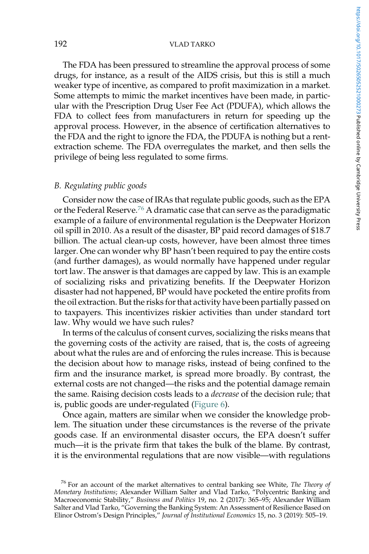The FDA has been pressured to streamline the approval process of some drugs, for instance, as a result of the AIDS crisis, but this is still a much weaker type of incentive, as compared to profit maximization in a market. Some attempts to mimic the market incentives have been made, in particular with the Prescription Drug User Fee Act (PDUFA), which allows the FDA to collect fees from manufacturers in return for speeding up the approval process. However, in the absence of certification alternatives to the FDA and the right to ignore the FDA, the PDUFA is nothing but a rentextraction scheme. The FDA overregulates the market, and then sells the privilege of being less regulated to some firms.

### B. Regulating public goods

Consider now the case of IRAs that regulate public goods, such as the EPA or the Federal Reserve.<sup>76</sup> A dramatic case that can serve as the paradigmatic example of a failure of environmental regulation is the Deepwater Horizon oil spill in 2010. As a result of the disaster, BP paid record damages of \$18.7 billion. The actual clean-up costs, however, have been almost three times larger. One can wonder why BP hasn't been required to pay the entire costs (and further damages), as would normally have happened under regular tort law. The answer is that damages are capped by law. This is an example of socializing risks and privatizing benefits. If the Deepwater Horizon disaster had not happened, BP would have pocketed the entire profits from the oil extraction. But the risks for that activity have been partially passed on to taxpayers. This incentivizes riskier activities than under standard tort law. Why would we have such rules?

In terms of the calculus of consent curves, socializing the risks means that the governing costs of the activity are raised, that is, the costs of agreeing about what the rules are and of enforcing the rules increase. This is because the decision about how to manage risks, instead of being confined to the firm and the insurance market, is spread more broadly. By contrast, the external costs are not changed—the risks and the potential damage remain the same. Raising decision costs leads to a *decrease* of the decision rule; that is, public goods are under-regulated [\(Figure 6](#page-23-0)).

Once again, matters are similar when we consider the knowledge problem. The situation under these circumstances is the reverse of the private goods case. If an environmental disaster occurs, the EPA doesn't suffer much—it is the private firm that takes the bulk of the blame. By contrast, it is the environmental regulations that are now visible—with regulations

 $76$  For an account of the market alternatives to central banking see White, The Theory of Monetary Institutions; Alexander William Salter and Vlad Tarko, "Polycentric Banking and Macroeconomic Stability," Business and Politics 19, no. 2 (2017): 365–95; Alexander William Salter and Vlad Tarko, "Governing the Banking System: An Assessment of Resilience Based on Elinor Ostrom's Design Principles," Journal of Institutional Economics 15, no. 3 (2019): 505–19.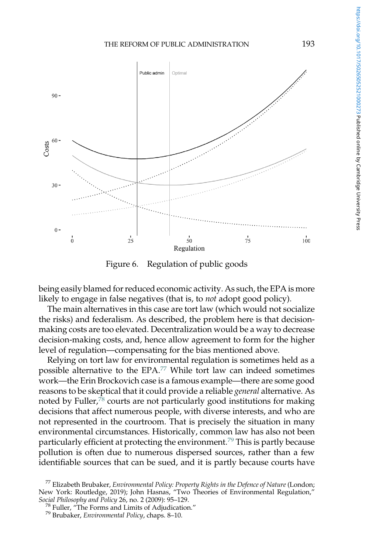<span id="page-23-0"></span>

Figure 6. Regulation of public goods

being easily blamed for reduced economic activity. As such, the EPA is more likely to engage in false negatives (that is, to not adopt good policy).

The main alternatives in this case are tort law (which would not socialize the risks) and federalism. As described, the problem here is that decisionmaking costs are too elevated. Decentralization would be a way to decrease decision-making costs, and, hence allow agreement to form for the higher level of regulation—compensating for the bias mentioned above.

Relying on tort law for environmental regulation is sometimes held as a possible alternative to the EPA.<sup>77</sup> While tort law can indeed sometimes work—the Erin Brockovich case is a famous example—there are some good reasons to be skeptical that it could provide a reliable general alternative. As noted by Fuller, $78$  courts are not particularly good institutions for making decisions that affect numerous people, with diverse interests, and who are not represented in the courtroom. That is precisely the situation in many environmental circumstances. Historically, common law has also not been particularly efficient at protecting the environment.<sup>79</sup> This is partly because pollution is often due to numerous dispersed sources, rather than a few identifiable sources that can be sued, and it is partly because courts have

 $^{77}$  Elizabeth Brubaker, Environmental Policy: Property Rights in the Defence of Nature (London; New York: Routledge, 2019); John Hasnas, "Two Theories of Environmental Regulation,"<br>Social Philosophy and Policy 26, no. 2 (2009): 95-129.

<sup>&</sup>lt;sup>78</sup> Fuller, "The Forms and Limits of Adjudication."<br><sup>79</sup> Brubaker, *Environmental Policy,* chaps. 8–10.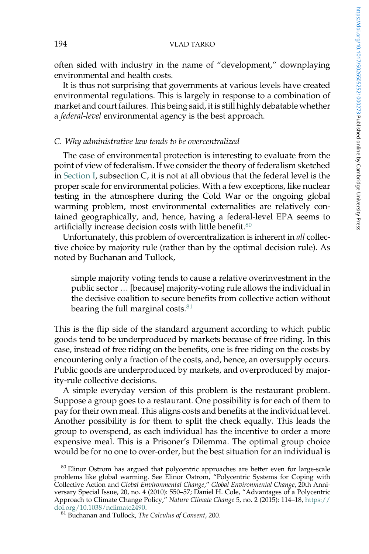often sided with industry in the name of "development," downplaying environmental and health costs.

It is thus not surprising that governments at various levels have created environmental regulations. This is largely in response to a combination of market and court failures. This being said, it is still highly debatable whether a *federal-level* environmental agency is the best approach.

### C. Why administrative law tends to be overcentralized

The case of environmental protection is interesting to evaluate from the point of view of federalism. If we consider the theory of federalism sketched in [Section I,](#page-0-0) subsection C, it is not at all obvious that the federal level is the proper scale for environmental policies. With a few exceptions, like nuclear testing in the atmosphere during the Cold War or the ongoing global warming problem, most environmental externalities are relatively contained geographically, and, hence, having a federal-level EPA seems to artificially increase decision costs with little benefit.<sup>80</sup>

Unfortunately, this problem of overcentralization is inherent in all collective choice by majority rule (rather than by the optimal decision rule). As noted by Buchanan and Tullock,

simple majority voting tends to cause a relative overinvestment in the public sector … [because] majority-voting rule allows the individual in the decisive coalition to secure benefits from collective action without bearing the full marginal costs. $81$ 

This is the flip side of the standard argument according to which public goods tend to be underproduced by markets because of free riding. In this case, instead of free riding on the benefits, one is free riding on the costs by encountering only a fraction of the costs, and, hence, an oversupply occurs. Public goods are underproduced by markets, and overproduced by majority-rule collective decisions.

A simple everyday version of this problem is the restaurant problem. Suppose a group goes to a restaurant. One possibility is for each of them to pay for their own meal. This aligns costs and benefits at the individual level. Another possibility is for them to split the check equally. This leads the group to overspend, as each individual has the incentive to order a more expensive meal. This is a Prisoner's Dilemma. The optimal group choice would be for no one to over-order, but the best situation for an individual is

<sup>&</sup>lt;sup>80</sup> Elinor Ostrom has argued that polycentric approaches are better even for large-scale problems like global warming. See Elinor Ostrom, "Polycentric Systems for Coping with Collective Action and Global Environmental Change," Global Environmental Change, 20th Anniversary Special Issue, 20, no. 4 (2010): 550–57; Daniel H. Cole, "Advantages of a Polycentric Approach to Climate Change Policy," Nature Climate Change 5, no. 2 (2015): 114–18, [https://](https://doi.org/10.1038/nclimate2490)<br>doi.org/10.1038/nclimate2490.

 $81$  Buchanan and Tullock, The Calculus of Consent, 200.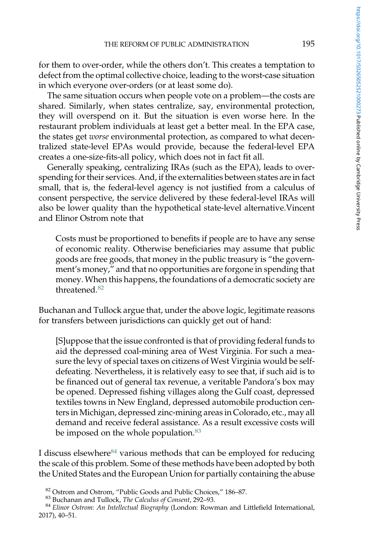for them to over-order, while the others don't. This creates a temptation to defect from the optimal collective choice, leading to the worst-case situation in which everyone over-orders (or at least some do).

The same situation occurs when people vote on a problem—the costs are shared. Similarly, when states centralize, say, environmental protection, they will overspend on it. But the situation is even worse here. In the restaurant problem individuals at least get a better meal. In the EPA case, the states get worse environmental protection, as compared to what decentralized state-level EPAs would provide, because the federal-level EPA creates a one-size-fits-all policy, which does not in fact fit all.

Generally speaking, centralizing IRAs (such as the EPA), leads to overspending for their services. And, if the externalities between states are in fact small, that is, the federal-level agency is not justified from a calculus of consent perspective, the service delivered by these federal-level IRAs will also be lower quality than the hypothetical state-level alternative.Vincent and Elinor Ostrom note that

Costs must be proportioned to benefits if people are to have any sense of economic reality. Otherwise beneficiaries may assume that public goods are free goods, that money in the public treasury is "the government's money," and that no opportunities are forgone in spending that money. When this happens, the foundations of a democratic society are threatened<sup>82</sup>

Buchanan and Tullock argue that, under the above logic, legitimate reasons for transfers between jurisdictions can quickly get out of hand:

[S]uppose that the issue confronted is that of providing federal funds to aid the depressed coal-mining area of West Virginia. For such a measure the levy of special taxes on citizens of West Virginia would be selfdefeating. Nevertheless, it is relatively easy to see that, if such aid is to be financed out of general tax revenue, a veritable Pandora's box may be opened. Depressed fishing villages along the Gulf coast, depressed textiles towns in New England, depressed automobile production centers in Michigan, depressed zinc-mining areas in Colorado, etc., may all demand and receive federal assistance. As a result excessive costs will be imposed on the whole population.<sup>83</sup>

I discuss elsewhere<sup>84</sup> various methods that can be employed for reducing the scale of this problem. Some of these methods have been adopted by both the United States and the European Union for partially containing the abuse

<sup>&</sup>lt;sup>82</sup> Ostrom and Ostrom, "Public Goods and Public Choices," 186–87.<br><sup>83</sup> Buchanan and Tullock, *The Calculus of Consent,* 292–93.<br><sup>84</sup> Elinor Ostrom: An Intellectual Biography (London: Rowman and Littlefield International, 2017), 40–51.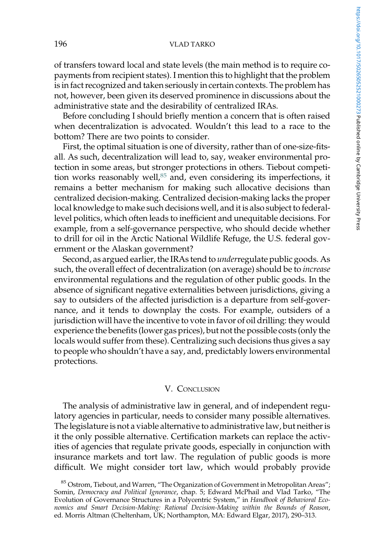of transfers toward local and state levels (the main method is to require copayments from recipient states). I mention this to highlight that the problem is in fact recognized and taken seriously in certain contexts. The problem has not, however, been given its deserved prominence in discussions about the administrative state and the desirability of centralized IRAs.

Before concluding I should briefly mention a concern that is often raised when decentralization is advocated. Wouldn't this lead to a race to the bottom? There are two points to consider.

First, the optimal situation is one of diversity, rather than of one-size-fitsall. As such, decentralization will lead to, say, weaker environmental protection in some areas, but stronger protections in others. Tiebout competition works reasonably well, $85$  and, even considering its imperfections, it remains a better mechanism for making such allocative decisions than centralized decision-making. Centralized decision-making lacks the proper local knowledge to make such decisions well, and it is also subject to federallevel politics, which often leads to inefficient and unequitable decisions. For example, from a self-governance perspective, who should decide whether to drill for oil in the Arctic National Wildlife Refuge, the U.S. federal government or the Alaskan government?

Second, as argued earlier, the IRAs tend to underregulate public goods. As such, the overall effect of decentralization (on average) should be to increase environmental regulations and the regulation of other public goods. In the absence of significant negative externalities between jurisdictions, giving a say to outsiders of the affected jurisdiction is a departure from self-governance, and it tends to downplay the costs. For example, outsiders of a jurisdiction will have the incentive to vote in favor of oil drilling: they would experience the benefits (lower gas prices), but not the possible costs (only the locals would suffer from these). Centralizing such decisions thus gives a say to people who shouldn't have a say, and, predictably lowers environmental protections.

### V. CONCLUSION

The analysis of administrative law in general, and of independent regulatory agencies in particular, needs to consider many possible alternatives. The legislature is not a viable alternative to administrative law, but neither is it the only possible alternative. Certification markets can replace the activities of agencies that regulate private goods, especially in conjunction with insurance markets and tort law. The regulation of public goods is more difficult. We might consider tort law, which would probably provide

<sup>&</sup>lt;sup>85</sup> Ostrom, Tiebout, and Warren, "The Organization of Government in Metropolitan Areas"; Somin, Democracy and Political Ignorance, chap. 5; Edward McPhail and Vlad Tarko, "The Evolution of Governance Structures in a Polycentric System," in Handbook of Behavioral Economics and Smart Decision-Making: Rational Decision-Making within the Bounds of Reason, ed. Morris Altman (Cheltenham, UK; Northampton, MA: Edward Elgar, 2017), 290–313.